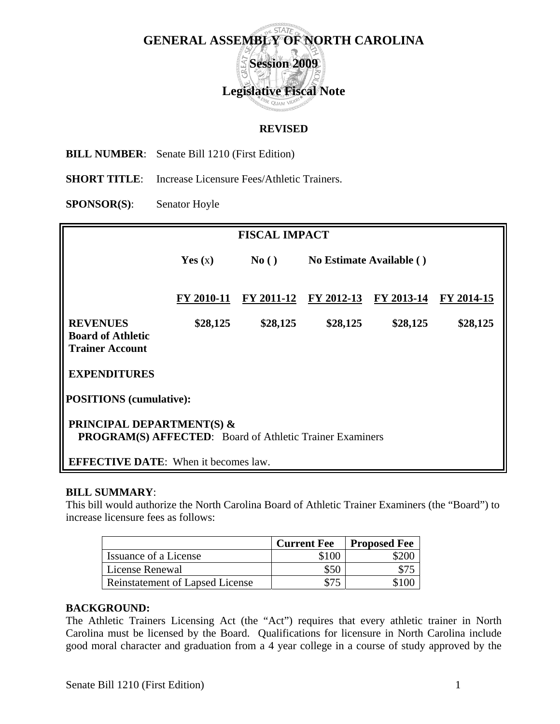

## **REVISED**

**BILL NUMBER**: Senate Bill 1210 (First Edition)

**SHORT TITLE:** Increase Licensure Fees/Athletic Trainers.

**SPONSOR(S)**: Senator Hoyle

| <b>FISCAL IMPACT</b>                                                                             |            |            |                          |            |            |  |
|--------------------------------------------------------------------------------------------------|------------|------------|--------------------------|------------|------------|--|
|                                                                                                  | Yes $(x)$  | No()       | No Estimate Available () |            |            |  |
|                                                                                                  | FY 2010-11 | FY 2011-12 | FY 2012-13               | FY 2013-14 | FY 2014-15 |  |
| <b>REVENUES</b><br><b>Board of Athletic</b><br><b>Trainer Account</b>                            | \$28,125   | \$28,125   | \$28,125                 | \$28,125   | \$28,125   |  |
| <b>EXPENDITURES</b>                                                                              |            |            |                          |            |            |  |
| <b>POSITIONS</b> (cumulative):                                                                   |            |            |                          |            |            |  |
| <b>PRINCIPAL DEPARTMENT(S) &amp;</b><br>PROGRAM(S) AFFECTED: Board of Athletic Trainer Examiners |            |            |                          |            |            |  |
| <b>EFFECTIVE DATE:</b> When it becomes law.                                                      |            |            |                          |            |            |  |

## **BILL SUMMARY**:

This bill would authorize the North Carolina Board of Athletic Trainer Examiners (the "Board") to increase licensure fees as follows:

|                                 | <b>Current Fee</b> | <b>Proposed Fee</b> |
|---------------------------------|--------------------|---------------------|
| Issuance of a License           | \$100              |                     |
| License Renewal                 | \$50               |                     |
| Reinstatement of Lapsed License |                    |                     |

## **BACKGROUND:**

The Athletic Trainers Licensing Act (the "Act") requires that every athletic trainer in North Carolina must be licensed by the Board. Qualifications for licensure in North Carolina include good moral character and graduation from a 4 year college in a course of study approved by the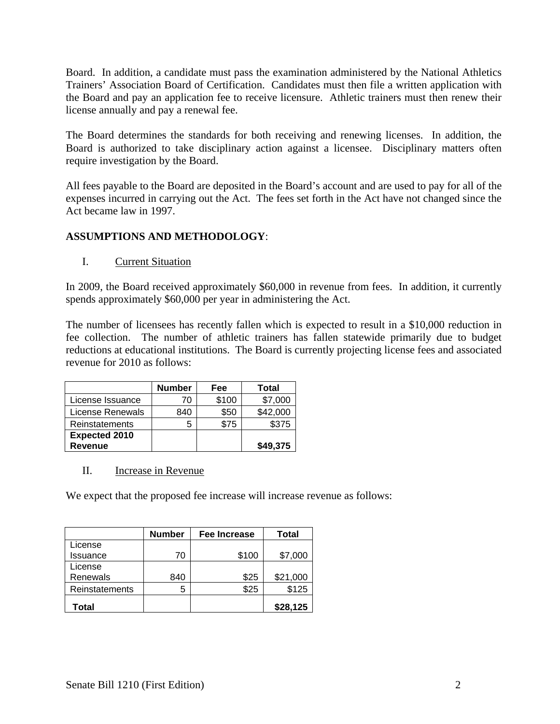Board. In addition, a candidate must pass the examination administered by the National Athletics Trainers' Association Board of Certification. Candidates must then file a written application with the Board and pay an application fee to receive licensure. Athletic trainers must then renew their license annually and pay a renewal fee.

The Board determines the standards for both receiving and renewing licenses. In addition, the Board is authorized to take disciplinary action against a licensee. Disciplinary matters often require investigation by the Board.

All fees payable to the Board are deposited in the Board's account and are used to pay for all of the expenses incurred in carrying out the Act. The fees set forth in the Act have not changed since the Act became law in 1997.

## **ASSUMPTIONS AND METHODOLOGY**:

I. Current Situation

In 2009, the Board received approximately \$60,000 in revenue from fees. In addition, it currently spends approximately \$60,000 per year in administering the Act.

The number of licensees has recently fallen which is expected to result in a \$10,000 reduction in fee collection. The number of athletic trainers has fallen statewide primarily due to budget reductions at educational institutions. The Board is currently projecting license fees and associated revenue for 2010 as follows:

|                      | <b>Number</b> | Fee   | Total    |
|----------------------|---------------|-------|----------|
| License Issuance     | 70            | \$100 | \$7,000  |
| License Renewals     | 840           | \$50  | \$42,000 |
| Reinstatements       | 5             | \$75  | \$375    |
| <b>Expected 2010</b> |               |       |          |
| <b>Revenue</b>       |               |       | \$49,375 |

II. Increase in Revenue

We expect that the proposed fee increase will increase revenue as follows:

|                 | <b>Number</b> | <b>Fee Increase</b> | Total    |
|-----------------|---------------|---------------------|----------|
| License         |               |                     |          |
| <b>Issuance</b> | 70            | \$100               | \$7,000  |
| License         |               |                     |          |
| Renewals        | 840           | \$25                | \$21,000 |
| Reinstatements  | 5             | \$25                | \$125    |
| Total           |               |                     | \$28,125 |